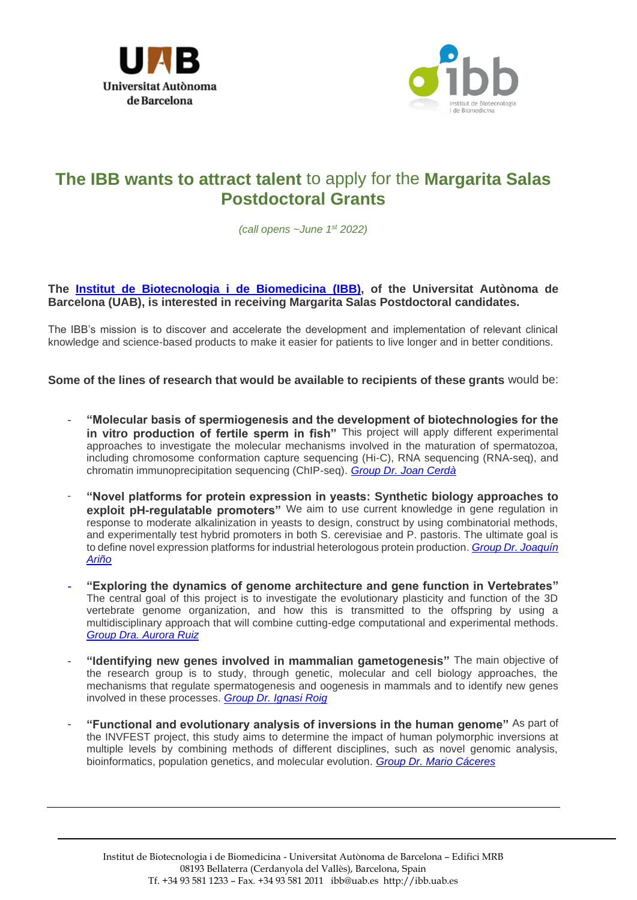



## **The IBB wants to attract talent** to apply for the **Margarita Salas Postdoctoral Grants**

*(call opens ~June 1st 2022)*

## **The Institut [de Biotecnologia i de Biomedicina](https://ibb.uab.cat/) (IBB), of the Universitat Autònoma de Barcelona (UAB), is interested in receiving Margarita Salas Postdoctoral candidates.**

The IBB's mission is to discover and accelerate the development and implementation of relevant clinical knowledge and science-based products to make it easier for patients to live longer and in better conditions.

**Some of the lines of research that would be available to recipients of these grants** would be:

- **"Molecular basis of spermiogenesis and the development of biotechnologies for the**  in vitro production of fertile sperm in fish" This project will apply different experimental approaches to investigate the molecular mechanisms involved in the maturation of spermatozoa, including chromosome conformation capture sequencing (Hi-C), RNA sequencing (RNA-seq), and chromatin immunoprecipitation sequencing (ChIP-seq). *[Group Dr. Joan Cerdà](https://ibb.uab.cat/wp-content/themes/viral/modules/ibb_membres/view_grup.php?CodiGrup=28)*
- "Novel platforms for protein expression in yeasts: Synthetic biology approaches to **exploit pH-regulatable promoters"** We aim to use current knowledge in gene regulation in response to moderate alkalinization in yeasts to design, construct by using combinatorial methods, and experimentally test hybrid promoters in both S. cerevisiae and P. pastoris. The ultimate goal is to define novel expression platforms for industrial heterologous protein production. *[Group Dr. Joaquín](https://ibb.uab.cat/wp-content/themes/viral/modules/ibb_membres/view_grup.php?CodiGrup=48)  [Ariño](https://ibb.uab.cat/wp-content/themes/viral/modules/ibb_membres/view_grup.php?CodiGrup=48)*
- **"Exploring the dynamics of genome architecture and gene function in Vertebrates"** The central goal of this project is to investigate the evolutionary plasticity and function of the 3D vertebrate genome organization, and how this is transmitted to the offspring by using a multidisciplinary approach that will combine cutting-edge computational and experimental methods. *[Group Dra. Aurora Ruiz](https://ibb.uab.cat/wp-content/themes/viral/modules/ibb_membres/view_grup.php?CodiGrup=27)*
- **"Identifying new genes involved in mammalian gametogenesis"** The main objective of the research group is to study, through genetic, molecular and cell biology approaches, the mechanisms that regulate spermatogenesis and oogenesis in mammals and to identify new genes involved in these processes. *[Group Dr. Ignasi Roig](https://ibb.uab.cat/wp-content/themes/viral/modules/ibb_membres/view_grup.php?CodiGrup=27)*
- **"Functional and evolutionary analysis of inversions in the human genome"** As part of the INVFEST project, this study aims to determine the impact of human polymorphic inversions at multiple levels by combining methods of different disciplines, such as novel genomic analysis, bioinformatics, population genetics, and molecular evolution. *[Group Dr. Mario Cáceres](https://ibb.uab.cat/wp-content/themes/viral/modules/ibb_membres/view_grup.php?CodiGrup=45)*